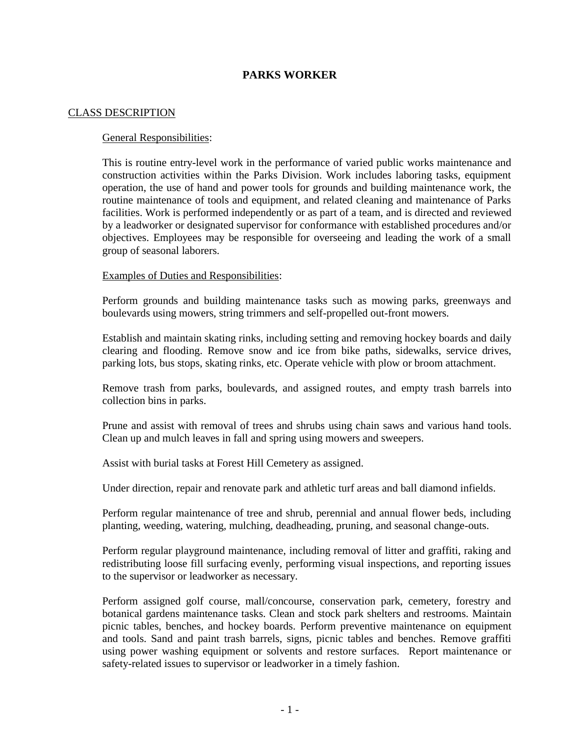# **PARKS WORKER**

### CLASS DESCRIPTION

## General Responsibilities:

This is routine entry-level work in the performance of varied public works maintenance and construction activities within the Parks Division. Work includes laboring tasks, equipment operation, the use of hand and power tools for grounds and building maintenance work, the routine maintenance of tools and equipment, and related cleaning and maintenance of Parks facilities. Work is performed independently or as part of a team, and is directed and reviewed by a leadworker or designated supervisor for conformance with established procedures and/or objectives. Employees may be responsible for overseeing and leading the work of a small group of seasonal laborers.

## Examples of Duties and Responsibilities:

Perform grounds and building maintenance tasks such as mowing parks, greenways and boulevards using mowers, string trimmers and self-propelled out-front mowers.

Establish and maintain skating rinks, including setting and removing hockey boards and daily clearing and flooding. Remove snow and ice from bike paths, sidewalks, service drives, parking lots, bus stops, skating rinks, etc. Operate vehicle with plow or broom attachment.

Remove trash from parks, boulevards, and assigned routes, and empty trash barrels into collection bins in parks.

Prune and assist with removal of trees and shrubs using chain saws and various hand tools. Clean up and mulch leaves in fall and spring using mowers and sweepers.

Assist with burial tasks at Forest Hill Cemetery as assigned.

Under direction, repair and renovate park and athletic turf areas and ball diamond infields.

Perform regular maintenance of tree and shrub, perennial and annual flower beds, including planting, weeding, watering, mulching, deadheading, pruning, and seasonal change-outs.

Perform regular playground maintenance, including removal of litter and graffiti, raking and redistributing loose fill surfacing evenly, performing visual inspections, and reporting issues to the supervisor or leadworker as necessary.

Perform assigned golf course, mall/concourse, conservation park, cemetery, forestry and botanical gardens maintenance tasks. Clean and stock park shelters and restrooms. Maintain picnic tables, benches, and hockey boards. Perform preventive maintenance on equipment and tools. Sand and paint trash barrels, signs, picnic tables and benches. Remove graffiti using power washing equipment or solvents and restore surfaces. Report maintenance or safety-related issues to supervisor or leadworker in a timely fashion.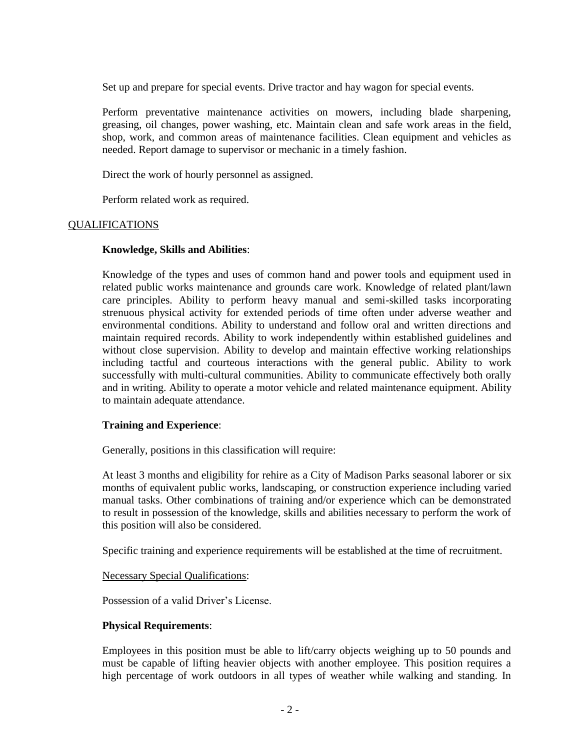Set up and prepare for special events. Drive tractor and hay wagon for special events.

Perform preventative maintenance activities on mowers, including blade sharpening, greasing, oil changes, power washing, etc. Maintain clean and safe work areas in the field, shop, work, and common areas of maintenance facilities. Clean equipment and vehicles as needed. Report damage to supervisor or mechanic in a timely fashion.

Direct the work of hourly personnel as assigned.

Perform related work as required.

## **OUALIFICATIONS**

## **Knowledge, Skills and Abilities**:

Knowledge of the types and uses of common hand and power tools and equipment used in related public works maintenance and grounds care work. Knowledge of related plant/lawn care principles. Ability to perform heavy manual and semi-skilled tasks incorporating strenuous physical activity for extended periods of time often under adverse weather and environmental conditions. Ability to understand and follow oral and written directions and maintain required records. Ability to work independently within established guidelines and without close supervision. Ability to develop and maintain effective working relationships including tactful and courteous interactions with the general public. Ability to work successfully with multi-cultural communities. Ability to communicate effectively both orally and in writing. Ability to operate a motor vehicle and related maintenance equipment. Ability to maintain adequate attendance.

## **Training and Experience**:

Generally, positions in this classification will require:

At least 3 months and eligibility for rehire as a City of Madison Parks seasonal laborer or six months of equivalent public works, landscaping, or construction experience including varied manual tasks. Other combinations of training and/or experience which can be demonstrated to result in possession of the knowledge, skills and abilities necessary to perform the work of this position will also be considered.

Specific training and experience requirements will be established at the time of recruitment.

#### Necessary Special Qualifications:

Possession of a valid Driver's License.

#### **Physical Requirements**:

Employees in this position must be able to lift/carry objects weighing up to 50 pounds and must be capable of lifting heavier objects with another employee. This position requires a high percentage of work outdoors in all types of weather while walking and standing. In